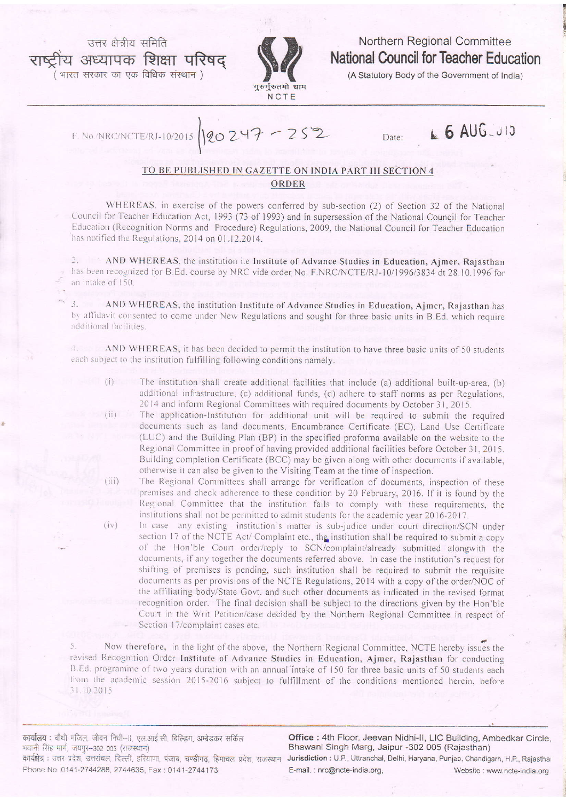उत्तर क्षेत्रीय समिति .<br>य अध्यापक शिक्षा प**रिषद्** भारत सरकार का एक विधिक संस्थान)



 $120247 - 252$ 

Northern Regional Committee **National Council for Teacher Education** 

(A Statutory Body of the Government of India)

F. No./NRC/NCTE

Date:

## L 6 AUG 313

## TO BE PUBLISHED IN GAZETTE ON INDIA PART III SECTION 4 ORDER

WHEREAS, in exercise of the powers conferred by sub-section (2) of Section 32 of the National Council for Teacher Education Act, 1993 (73 of 1993) and in supersession of the National Council for Teacher Education (Recognition Norms and Procedure) Regulations, 2009, the National Council for Teacher Education has notified the Regulations, 2014 on 01.12.2014.

2. AND WHEREAS, the institution i.e Institute of Advance Studies in Education, Ajmer, Rajasthan has been recognized for B.Ed. course by NRC vide order No. F.NRC/NCTE/RJ-10/1996/3834 dt 28.10.1996 for an intake of 150.

AND WHEREAS, the institution Institute of Advance Studies in Education, Ajmer, Rajasthan has  $\overline{3}$ . by affidavit consented to come under New Regulations and sought for three basic units in B.Ed. which require additional facilities.

 $4 -$ AND WHEREAS, it has been decided to permit the institution to have three basic units of 50 students each subject to the institution fulfilling following conditions namely.

- The institution shall create additional facilities that include (a) additional built-up-area, (b) additional infrastructure, (c) additional funds, (d) adhere to staff norms as per Regulations, 2014 and inform Regional Committees with required documents by October 31, 2015.
	- The application-Institution for additional unit will be required to submit the required documents such as land documents, Encumbrance Certificate (EC), Land Use Certificate (LUC) and the Building Plan (BP) in the specified proforma available on the website to the Regional Committee in proof of having provided additional facilities before October 31, 2015. Building completion Certificate (BCC) may be given along with other documents if available, otherwise it can also be given to the Visiting Team at the time of inspection.
- The Regional Committees shall arrange for verification of documents, inspection of these  $(iii)$ premises and check adherence to these condition by 20 February, 2016. If it is found by the Regional Committee that the institution fails to comply with these requirements, the institutions shall not be permitted to admit students for the academic year 2016-2017.  $(iv)$ 
	- In case any existing institution's matter is sub-judice under court direction/SCN under section 17 of the NCTE Act/ Complaint etc., the institution shall be required to submit a copy of the Hon'ble Court order/reply to SCN/complaint/already submitted alongwith the documents, if any together the documents referred above. In case the institution's request for shifting of premises is pending, such institution shall be required to submit the requisite documents as per provisions of the NCTE Regulations, 2014 with a copy of the order/NOC of the affiliating body/State Govt. and such other documents as indicated in the revised format recognition order. The final decision shall be subject to the directions given by the Hon'ble Court in the Writ Petition/case decided by the Northern Regional Committee in respect of Section 17/complaint cases etc.

Now therefore, in the light of the above, the Northern Regional Committee, NCTE hereby issues the revised Recognition Order Institute of Advance Studies in Education, Ajmer, Rajasthan for conducting B.Ed. programme of two years duration with an annual intake of 150 for three basic units of 50 students each from the academic session 2015-2016 subject to fulfillment of the conditions mentioned herein, before 31.10.2015

कार्यालय : चौथी मंजिल, जीवन निधी-II, एल.आई.सी. बिल्डिंग, अम्बेडकर सर्किल भवानी सिंह मार्ग, जयपुर-302 005 (राजस्थान) कार्यक्षेत्र : उत्तर प्रदेश, उत्तरांचल, दिल्ली, हरियाणा, पंजाब, चण्डीगढ, हिमाचल प्रदेश, राजस्थान Phone No 0141-2744288, 2744635, Fax: 0141-2744173

Office: 4th Floor, Jeevan Nidhi-II, LIC Building, Ambedkar Circle, Bhawani Singh Marg, Jaipur -302 005 (Rajasthan) Jurisdiction : U.P., Uttranchal, Delhi, Haryana, Punjab, Chandigarh, H.P., Rajasthal E-mail.: nrc@ncte-india.org, Website: www.ncte-india.org